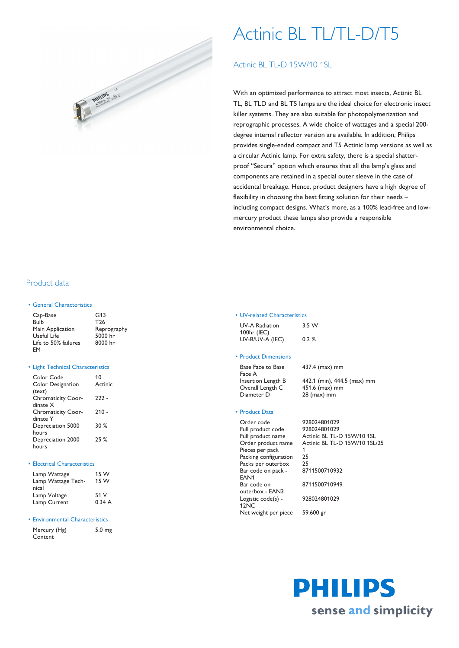

# Actinic BL TL/TL-D/T5

# Actinic BL TL-D 15W/10 1SL

With an optimized performance to attract most insects, Actinic BL TL, BL TLD and BL T5 lamps are the ideal choice for electronic insect killer systems. They are also suitable for photopolymerization and reprographic processes. A wide choice of wattages and a special 200 degree internal reflector version are available. In addition, Philips provides single-ended compact and T5 Actinic lamp versions as well as a circular Actinic lamp. For extra safety, there is a special shatterproof "Secura" option which ensures that all the lamp's glass and components are retained in a special outer sleeve in the case of accidental breakage. Hence, product designers have a high degree of flexibility in choosing the best fitting solution for their needs – including compact designs. What's more, as a 100% lead-free and lowmercury product these lamps also provide a responsible environmental choice.

## Product data

#### • General Characteristics

| Cap-Base             | G13         |
|----------------------|-------------|
| Bulb                 | T26         |
| Main Application     | Reprography |
| Useful Life          | 5000 hr     |
| Life to 50% failures | 8000 hr     |
| FM                   |             |

#### • Light Technical Characteristics

| Color Code<br><b>Color Designation</b> | 10<br>Actinic |
|----------------------------------------|---------------|
| (text)<br><b>Chromaticity Coor-</b>    | 222 -         |
| dinate X                               |               |
| <b>Chromaticity Coor-</b>              | 210 -         |
| dinate Y                               |               |
| Depreciation 5000                      | 30%           |
| hours                                  |               |
| Depreciation 2000                      | 25%           |
| hours                                  |               |

#### • Electrical Characteristics

| Lamp Wattage       | 15 W  |
|--------------------|-------|
| Lamp Wattage Tech- | 15 W  |
| nical              |       |
| Lamp Voltage       | 51 V  |
| Lamp Current       | 0.34A |

#### • Environmental Characteristics

| Mercury (Hg) | 5.0 <sub>mg</sub> |
|--------------|-------------------|
| Content      |                   |

#### • UV-related Characteristics

| UV-A Radiation  | 3.5 W   |
|-----------------|---------|
| 100hr (IEC)     |         |
| UV-B/UV-A (IEC) | $0.2\%$ |

#### • Product Dimensions

Base Face to Base Face A Overall Length C 451.6 (max) mm Diameter D 28 (max) mm

Insertion Length B 442.1 (min), 444.5 (max) mm

437.4 (max) mm

#### • Product Data

| Order code            | 92 |
|-----------------------|----|
| Full product code     | 92 |
| Full product name     | Ac |
| Order product name    | Ac |
| Pieces per pack       | 1  |
| Packing configuration | 25 |
| Packs per outerbox    | 25 |
| Bar code on pack -    | 87 |
| EAN1                  |    |
| Bar code on           | 87 |
| outerbox - EAN3       |    |
| Logistic code(s) -    | 92 |
| 12NC                  |    |
| Net weight per piece  | 59 |
|                       |    |

928024801029 928024801029 Actinic BL TL-D 15W/10 1SL Actinic BL TL-D 15W/10 1SL/25 8711500710932 8711500710949 928024801029 59.600 gr